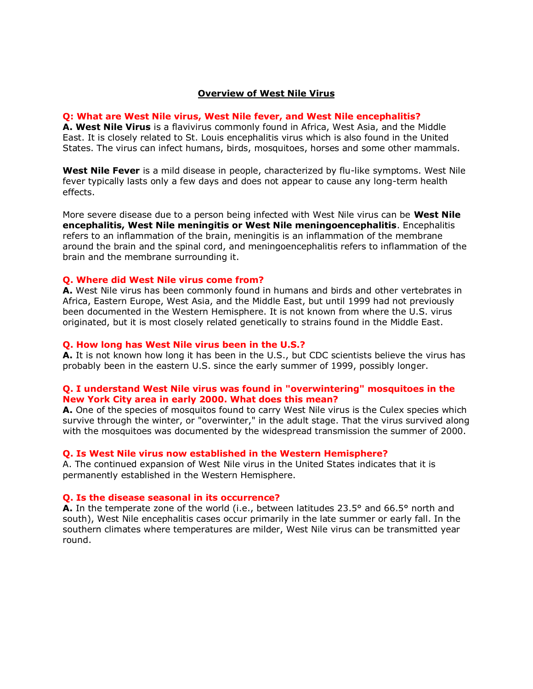### **Overview of West Nile Virus**

#### **Q: What are West Nile virus, West Nile fever, and West Nile encephalitis?**

**A. West Nile Virus** is a flavivirus commonly found in Africa, West Asia, and the Middle East. It is closely related to St. Louis encephalitis virus which is also found in the United States. The virus can infect humans, birds, mosquitoes, horses and some other mammals.

**West Nile Fever** is a mild disease in people, characterized by flu-like symptoms. West Nile fever typically lasts only a few days and does not appear to cause any long-term health effects.

More severe disease due to a person being infected with West Nile virus can be **West Nile encephalitis, West Nile meningitis or West Nile meningoencephalitis**. Encephalitis refers to an inflammation of the brain, meningitis is an inflammation of the membrane around the brain and the spinal cord, and meningoencephalitis refers to inflammation of the brain and the membrane surrounding it.

#### **Q. Where did West Nile virus come from?**

**A.** West Nile virus has been commonly found in humans and birds and other vertebrates in Africa, Eastern Europe, West Asia, and the Middle East, but until 1999 had not previously been documented in the Western Hemisphere. It is not known from where the U.S. virus originated, but it is most closely related genetically to strains found in the Middle East.

### **Q. How long has West Nile virus been in the U.S.?**

**A.** It is not known how long it has been in the U.S., but CDC scientists believe the virus has probably been in the eastern U.S. since the early summer of 1999, possibly longer.

### **Q. I understand West Nile virus was found in "overwintering" mosquitoes in the New York City area in early 2000. What does this mean?**

**A.** One of the species of mosquitos found to carry West Nile virus is the Culex species which survive through the winter, or "overwinter," in the adult stage. That the virus survived along with the mosquitoes was documented by the widespread transmission the summer of 2000.

#### **Q. Is West Nile virus now established in the Western Hemisphere?**

A. The continued expansion of West Nile virus in the United States indicates that it is permanently established in the Western Hemisphere.

#### **Q. Is the disease seasonal in its occurrence?**

**A.** In the temperate zone of the world (i.e., between latitudes 23.5° and 66.5° north and south), West Nile encephalitis cases occur primarily in the late summer or early fall. In the southern climates where temperatures are milder, West Nile virus can be transmitted year round.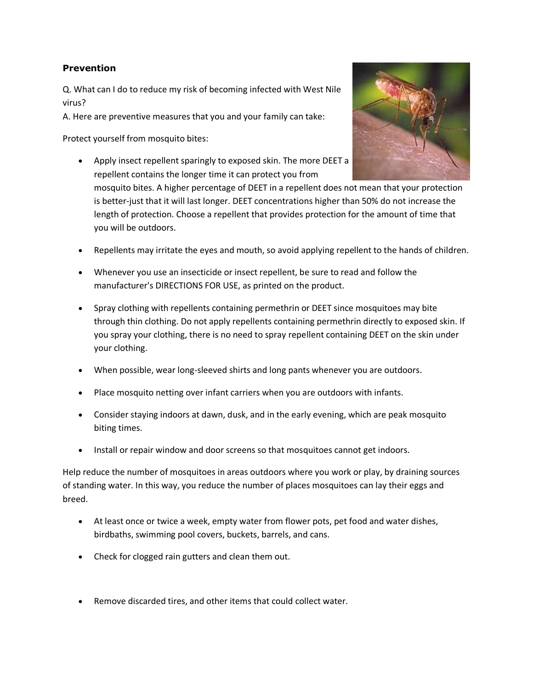# **Prevention**

Q. What can I do to reduce my risk of becoming infected with West Nile virus?

A. Here are preventive measures that you and your family can take:

Protect yourself from mosquito bites:

 Apply insect repellent sparingly to exposed skin. The more DEET a repellent contains the longer time it can protect you from



mosquito bites. A higher percentage of DEET in a repellent does not mean that your protection is better-just that it will last longer. DEET concentrations higher than 50% do not increase the length of protection. Choose a repellent that provides protection for the amount of time that you will be outdoors.

- Repellents may irritate the eyes and mouth, so avoid applying repellent to the hands of children.
- Whenever you use an insecticide or insect repellent, be sure to read and follow the manufacturer's DIRECTIONS FOR USE, as printed on the product.
- Spray clothing with repellents containing permethrin or DEET since mosquitoes may bite through thin clothing. Do not apply repellents containing permethrin directly to exposed skin. If you spray your clothing, there is no need to spray repellent containing DEET on the skin under your clothing.
- When possible, wear long-sleeved shirts and long pants whenever you are outdoors.
- Place mosquito netting over infant carriers when you are outdoors with infants.
- Consider staying indoors at dawn, dusk, and in the early evening, which are peak mosquito biting times.
- Install or repair window and door screens so that mosquitoes cannot get indoors.

Help reduce the number of mosquitoes in areas outdoors where you work or play, by draining sources of standing water. In this way, you reduce the number of places mosquitoes can lay their eggs and breed.

- At least once or twice a week, empty water from flower pots, pet food and water dishes, birdbaths, swimming pool covers, buckets, barrels, and cans.
- Check for clogged rain gutters and clean them out.
- Remove discarded tires, and other items that could collect water.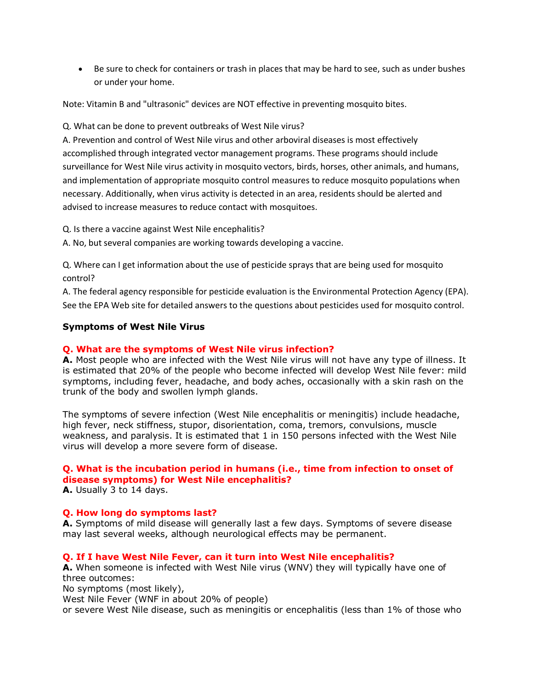Be sure to check for containers or trash in places that may be hard to see, such as under bushes or under your home.

Note: Vitamin B and "ultrasonic" devices are NOT effective in preventing mosquito bites.

Q. What can be done to prevent outbreaks of West Nile virus?

A. Prevention and control of West Nile virus and other arboviral diseases is most effectively accomplished through integrated vector management programs. These programs should include surveillance for West Nile virus activity in mosquito vectors, birds, horses, other animals, and humans, and implementation of appropriate mosquito control measures to reduce mosquito populations when necessary. Additionally, when virus activity is detected in an area, residents should be alerted and advised to increase measures to reduce contact with mosquitoes.

Q. Is there a vaccine against West Nile encephalitis?

A. No, but several companies are working towards developing a vaccine.

Q. Where can I get information about the use of pesticide sprays that are being used for mosquito control?

A. The federal agency responsible for pesticide evaluation is the Environmental Protection Agency (EPA). See the EPA Web site for detailed answers to the questions about pesticides used for mosquito control.

# **Symptoms of West Nile Virus**

# **Q. What are the symptoms of West Nile virus infection?**

**A.** Most people who are infected with the West Nile virus will not have any type of illness. It is estimated that 20% of the people who become infected will develop West Nile fever: mild symptoms, including fever, headache, and body aches, occasionally with a skin rash on the trunk of the body and swollen lymph glands.

The symptoms of severe infection (West Nile encephalitis or meningitis) include headache, high fever, neck stiffness, stupor, disorientation, coma, tremors, convulsions, muscle weakness, and paralysis. It is estimated that 1 in 150 persons infected with the West Nile virus will develop a more severe form of disease.

# **Q. What is the incubation period in humans (i.e., time from infection to onset of disease symptoms) for West Nile encephalitis?**

**A.** Usually 3 to 14 days.

# **Q. How long do symptoms last?**

**A.** Symptoms of mild disease will generally last a few days. Symptoms of severe disease may last several weeks, although neurological effects may be permanent.

## **Q. If I have West Nile Fever, can it turn into West Nile encephalitis?**

**A.** When someone is infected with West Nile virus (WNV) they will typically have one of three outcomes:

No symptoms (most likely),

West Nile Fever (WNF in about 20% of people)

or severe West Nile disease, such as meningitis or encephalitis (less than 1% of those who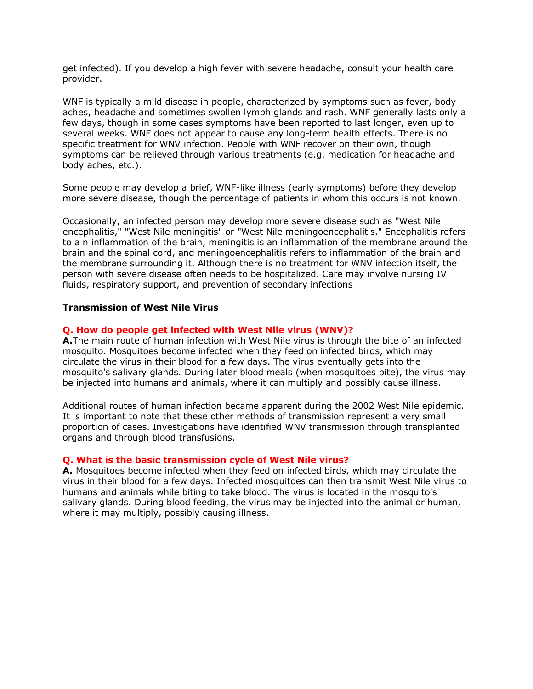get infected). If you develop a high fever with severe headache, consult your health care provider.

WNF is typically a mild disease in people, characterized by symptoms such as fever, body aches, headache and sometimes swollen lymph glands and rash. WNF generally lasts only a few days, though in some cases symptoms have been reported to last longer, even up to several weeks. WNF does not appear to cause any long-term health effects. There is no specific treatment for WNV infection. People with WNF recover on their own, though symptoms can be relieved through various treatments (e.g. medication for headache and body aches, etc.).

Some people may develop a brief, WNF-like illness (early symptoms) before they develop more severe disease, though the percentage of patients in whom this occurs is not known.

Occasionally, an infected person may develop more severe disease such as "West Nile encephalitis," "West Nile meningitis" or "West Nile meningoencephalitis." Encephalitis refers to a n inflammation of the brain, meningitis is an inflammation of the membrane around the brain and the spinal cord, and meningoencephalitis refers to inflammation of the brain and the membrane surrounding it. Although there is no treatment for WNV infection itself, the person with severe disease often needs to be hospitalized. Care may involve nursing IV fluids, respiratory support, and prevention of secondary infections

### **Transmission of West Nile Virus**

## **Q. How do people get infected with West Nile virus (WNV)?**

**A.**The main route of human infection with West Nile virus is through the bite of an infected mosquito. Mosquitoes become infected when they feed on infected birds, which may circulate the virus in their blood for a few days. The virus eventually gets into the mosquito's salivary glands. During later blood meals (when mosquitoes bite), the virus may be injected into humans and animals, where it can multiply and possibly cause illness.

Additional routes of human infection became apparent during the 2002 West Nile epidemic. It is important to note that these other methods of transmission represent a very small proportion of cases. Investigations have identified WNV transmission through transplanted organs and through blood transfusions.

### **Q. What is the basic transmission cycle of West Nile virus?**

**A.** Mosquitoes become infected when they feed on infected birds, which may circulate the virus in their blood for a few days. Infected mosquitoes can then transmit West Nile virus to humans and animals while biting to take blood. The virus is located in the mosquito's salivary glands. During blood feeding, the virus may be injected into the animal or human, where it may multiply, possibly causing illness.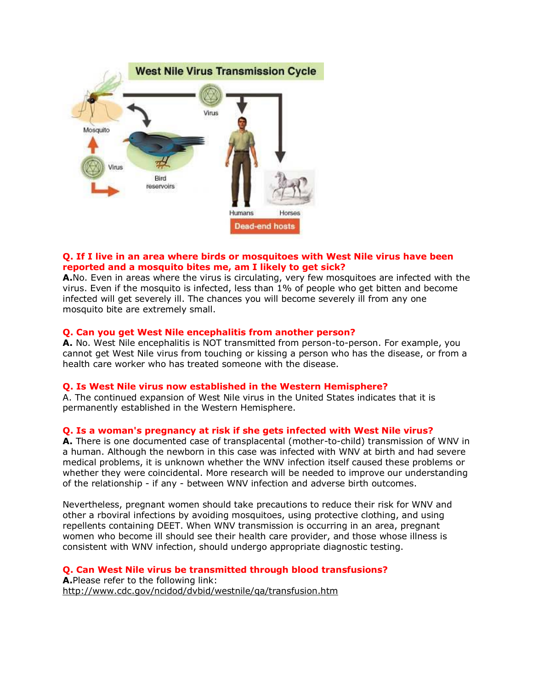

# **Q. If I live in an area where birds or mosquitoes with West Nile virus have been reported and a mosquito bites me, am I likely to get sick?**

**A.**No. Even in areas where the virus is circulating, very few mosquitoes are infected with the virus. Even if the mosquito is infected, less than 1% of people who get bitten and become infected will get severely ill. The chances you will become severely ill from any one mosquito bite are extremely small.

## **Q. Can you get West Nile encephalitis from another person?**

**A.** No. West Nile encephalitis is NOT transmitted from person-to-person. For example, you cannot get West Nile virus from touching or kissing a person who has the disease, or from a health care worker who has treated someone with the disease.

## **Q. Is West Nile virus now established in the Western Hemisphere?**

A. The continued expansion of West Nile virus in the United States indicates that it is permanently established in the Western Hemisphere.

## **Q. Is a woman's pregnancy at risk if she gets infected with West Nile virus?**

**A.** There is one documented case of transplacental (mother-to-child) transmission of WNV in a human. Although the newborn in this case was infected with WNV at birth and had severe medical problems, it is unknown whether the WNV infection itself caused these problems or whether they were coincidental. More research will be needed to improve our understanding of the relationship - if any - between WNV infection and adverse birth outcomes.

Nevertheless, pregnant women should take precautions to reduce their risk for WNV and other a rboviral infections by avoiding mosquitoes, using protective clothing, and using repellents containing DEET. When WNV transmission is occurring in an area, pregnant women who become ill should see their health care provider, and those whose illness is consistent with WNV infection, should undergo appropriate diagnostic testing.

# **Q. Can West Nile virus be transmitted through blood transfusions?**

**A.**Please refer to the following link: <http://www.cdc.gov/ncidod/dvbid/westnile/qa/transfusion.htm>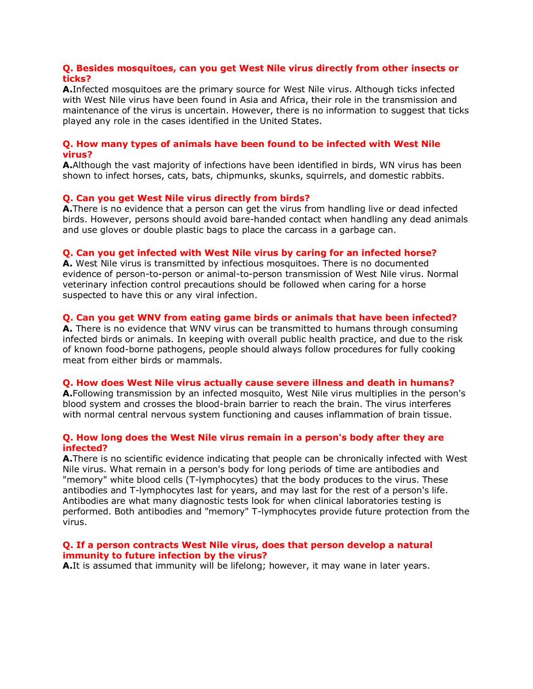## **Q. Besides mosquitoes, can you get West Nile virus directly from other insects or ticks?**

**A.**Infected mosquitoes are the primary source for West Nile virus. Although ticks infected with West Nile virus have been found in Asia and Africa, their role in the transmission and maintenance of the virus is uncertain. However, there is no information to suggest that ticks played any role in the cases identified in the United States.

## **Q. How many types of animals have been found to be infected with West Nile virus?**

**A.**Although the vast majority of infections have been identified in birds, WN virus has been shown to infect horses, cats, bats, chipmunks, skunks, squirrels, and domestic rabbits.

## **Q. Can you get West Nile virus directly from birds?**

**A.**There is no evidence that a person can get the virus from handling live or dead infected birds. However, persons should avoid bare-handed contact when handling any dead animals and use gloves or double plastic bags to place the carcass in a garbage can.

### **Q. Can you get infected with West Nile virus by caring for an infected horse?**

**A.** West Nile virus is transmitted by infectious mosquitoes. There is no documented evidence of person-to-person or animal-to-person transmission of West Nile virus. Normal veterinary infection control precautions should be followed when caring for a horse suspected to have this or any viral infection.

## **Q. Can you get WNV from eating game birds or animals that have been infected?**

**A.** There is no evidence that WNV virus can be transmitted to humans through consuming infected birds or animals. In keeping with overall public health practice, and due to the risk of known food-borne pathogens, people should always follow procedures for fully cooking meat from either birds or mammals.

#### **Q. How does West Nile virus actually cause severe illness and death in humans?**

**A.**Following transmission by an infected mosquito, West Nile virus multiplies in the person's blood system and crosses the blood-brain barrier to reach the brain. The virus interferes with normal central nervous system functioning and causes inflammation of brain tissue.

## **Q. How long does the West Nile virus remain in a person's body after they are infected?**

**A.**There is no scientific evidence indicating that people can be chronically infected with West Nile virus. What remain in a person's body for long periods of time are antibodies and "memory" white blood cells (T-lymphocytes) that the body produces to the virus. These antibodies and T-lymphocytes last for years, and may last for the rest of a person's life. Antibodies are what many diagnostic tests look for when clinical laboratories testing is performed. Both antibodies and "memory" T-lymphocytes provide future protection from the virus.

### **Q. If a person contracts West Nile virus, does that person develop a natural immunity to future infection by the virus?**

**A.**It is assumed that immunity will be lifelong; however, it may wane in later years.